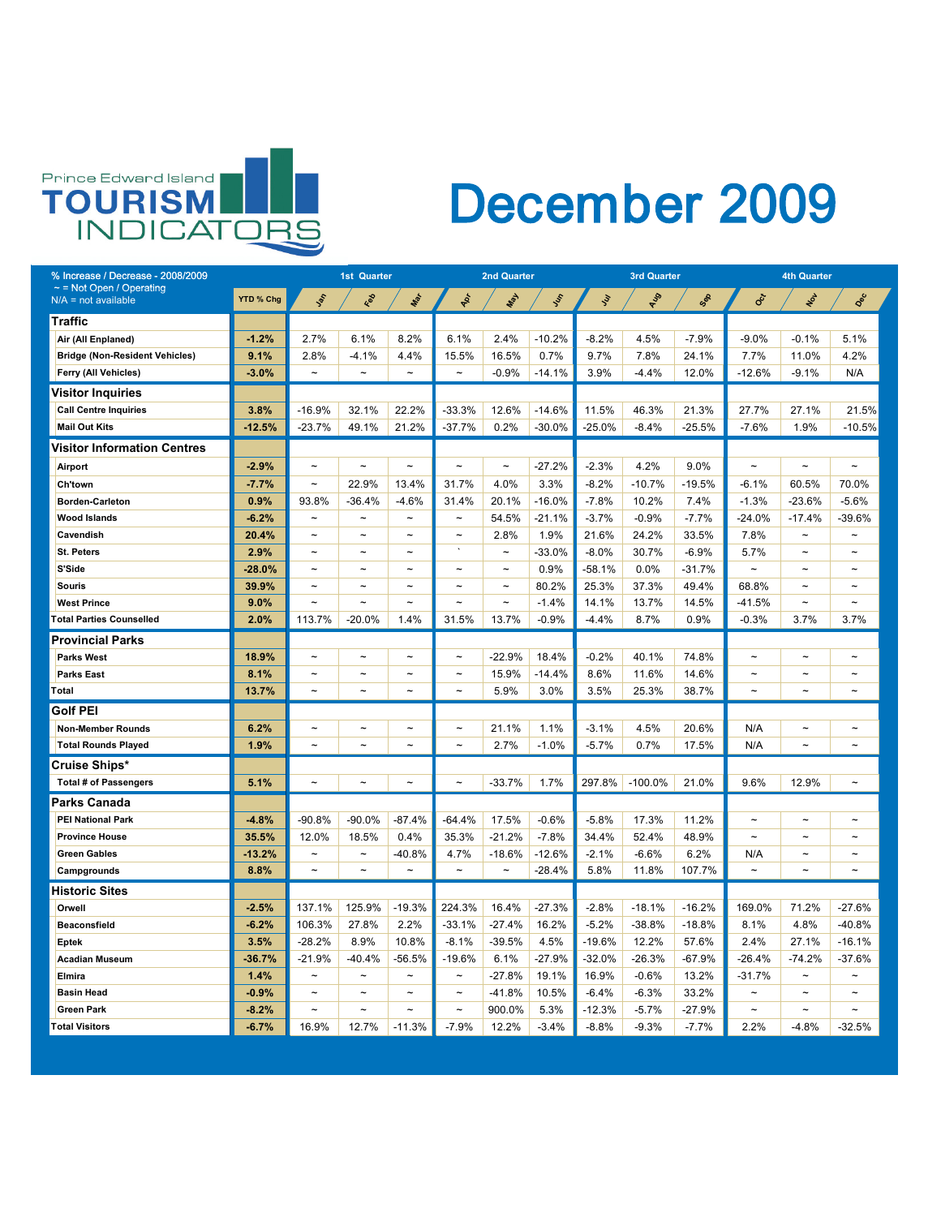

| % Increase / Decrease - 2008/2009                      |           | <b>1st Quarter</b>    |                       |                       |                       | <b>2nd Quarter</b>    |           |            | <b>3rd Quarter</b> |          | <b>4th Quarter</b>    |                       |                       |  |
|--------------------------------------------------------|-----------|-----------------------|-----------------------|-----------------------|-----------------------|-----------------------|-----------|------------|--------------------|----------|-----------------------|-----------------------|-----------------------|--|
| $\sim$ = Not Open / Operating<br>$N/A$ = not available | YTD % Chg | Lot                   | Red                   | Mar                   | PRI                   | <b>Leaf</b>           | <b>SS</b> | <b>Sur</b> | RUS                | Sep      | Oct                   | NOV                   | Dec                   |  |
| <b>Traffic</b>                                         |           |                       |                       |                       |                       |                       |           |            |                    |          |                       |                       |                       |  |
| Air (All Enplaned)                                     | $-1.2%$   | 2.7%                  | 6.1%                  | 8.2%                  | 6.1%                  | 2.4%                  | $-10.2%$  | $-8.2%$    | 4.5%               | $-7.9%$  | $-9.0\%$              | $-0.1%$               | 5.1%                  |  |
| <b>Bridge (Non-Resident Vehicles)</b>                  | 9.1%      | 2.8%                  | $-4.1%$               | 4.4%                  | 15.5%                 | 16.5%                 | 0.7%      | 9.7%       | 7.8%               | 24.1%    | $7.7\%$               | 11.0%                 | 4.2%                  |  |
| <b>Ferry (All Vehicles)</b>                            | $-3.0%$   | $\tilde{\phantom{a}}$ | $\tilde{}$            | $\tilde{\phantom{a}}$ | $\thicksim$           | $-0.9%$               | $-14.1\%$ | 3.9%       | $-4.4\%$           | 12.0%    | $-12.6%$              | $-9.1%$               | N/A                   |  |
| <b>Visitor Inquiries</b>                               |           |                       |                       |                       |                       |                       |           |            |                    |          |                       |                       |                       |  |
| <b>Call Centre Inquiries</b>                           | 3.8%      | $-16.9%$              | 32.1%                 | 22.2%                 | $-33.3%$              | 12.6%                 | $-14.6%$  | 11.5%      | 46.3%              | 21.3%    | 27.7%                 | 27.1%                 | 21.5%                 |  |
| <b>Mail Out Kits</b>                                   | $-12.5%$  | $-23.7%$              | 49.1%                 | 21.2%                 | $-37.7%$              | 0.2%                  | $-30.0%$  | -25.0%     | $-8.4\%$           | $-25.5%$ | $-7.6%$               | 1.9%                  | $-10.5%$              |  |
| <b>Visitor Information Centres</b>                     |           |                       |                       |                       |                       |                       |           |            |                    |          |                       |                       |                       |  |
| Airport                                                | $-2.9%$   | $\sim$                | $\tilde{\phantom{a}}$ | $\tilde{\phantom{a}}$ | $\tilde{}$            | $\tilde{\phantom{m}}$ | $-27.2%$  | $-2.3%$    | 4.2%               | $9.0\%$  | $\tilde{}$            | $\tilde{\phantom{a}}$ | $\tilde{\phantom{a}}$ |  |
| <b>Ch'town</b>                                         | $-7.7%$   | $\sim$                | 22.9%                 | 13.4%                 | 31.7%                 | 4.0%                  | 3.3%      | $-8.2%$    | $-10.7%$           | $-19.5%$ | $-6.1%$               | 60.5%                 | 70.0%                 |  |
| <b>Borden-Carleton</b>                                 | 0.9%      | 93.8%                 | $-36.4%$              | $-4.6%$               | 31.4%                 | 20.1%                 | $-16.0%$  | $-7.8%$    | 10.2%              | 7.4%     | $-1.3%$               | $-23.6%$              | $-5.6%$               |  |
| <b>Wood Islands</b>                                    | $-6.2%$   | $\tilde{\phantom{a}}$ | $\tilde{\phantom{a}}$ | $\sim$                | $\tilde{\phantom{m}}$ | 54.5%                 | $-21.1%$  | $-3.7\%$   | $-0.9%$            | $-7.7%$  | $-24.0%$              | $-17.4%$              | $-39.6%$              |  |
| <b>Cavendish</b>                                       | 20.4%     | $\tilde{\phantom{a}}$ | $\tilde{\phantom{a}}$ | $\sim$                | $\tilde{\phantom{m}}$ | 2.8%                  | 1.9%      | 21.6%      | 24.2%              | 33.5%    | 7.8%                  | $\tilde{\phantom{a}}$ | $\sim$                |  |
| <b>St. Peters</b>                                      | 2.9%      | $\tilde{\phantom{a}}$ | $\tilde{\phantom{a}}$ | $\sim$                | $\cdot$               | $\tilde{\phantom{m}}$ | $-33.0%$  | $-8.0\%$   | 30.7%              | $-6.9%$  | 5.7%                  | $\tilde{\phantom{a}}$ | $\tilde{\phantom{a}}$ |  |
| S'Side                                                 | $-28.0%$  | $\tilde{}$            | $\tilde{}$            |                       | $\tilde{\phantom{a}}$ | $\tilde{\phantom{a}}$ | 0.9%      | $-58.1%$   | 0.0%               | $-31.7%$ | $\tilde{\phantom{a}}$ |                       |                       |  |
| <b>Souris</b>                                          | 39.9%     | $\tilde{\phantom{a}}$ | $\tilde{\phantom{a}}$ | $\sim$                | $\tilde{}$            | $\tilde{\phantom{m}}$ | 80.2%     | 25.3%      | 37.3%              | 49.4%    | 68.8%                 | $\tilde{\phantom{a}}$ | $\sim$                |  |
| <b>West Prince</b>                                     | 9.0%      | $\sim$                | $\tilde{\phantom{a}}$ | $\sim$                | $\tilde{}$            | $\tilde{\phantom{m}}$ | $-1.4%$   | 14.1%      | 13.7%              | 14.5%    | $-41.5%$              | $\sim$                | $\sim$                |  |
| <b>Total Parties Counselled</b>                        | 2.0%      | 113.7%                | $-20.0\%$             | $1.4\%$               | 31.5%                 | 13.7%                 | $-0.9%$   | $-4.4\%$   | 8.7%               | 0.9%     | $-0.3%$               | 3.7%                  | 3.7%                  |  |
| <b>Provincial Parks</b>                                |           |                       |                       |                       |                       |                       |           |            |                    |          |                       |                       |                       |  |
| <b>Parks West</b>                                      | 18.9%     | $\sim$                | $\tilde{\phantom{a}}$ | $\sim$                | $\tilde{\phantom{m}}$ | $-22.9%$              | 18.4%     | $-0.2%$    | 40.1%              | 74.8%    | $\tilde{}$            | $\tilde{\phantom{a}}$ | $\sim$                |  |
| <b>Parks East</b>                                      | 8.1%      | $\tilde{\phantom{a}}$ | $\tilde{\phantom{a}}$ | $\sim$                | $\tilde{}$            | 15.9%                 | $-14.4\%$ | 8.6%       | 11.6%              | 14.6%    | $\tilde{\phantom{a}}$ | $\tilde{\phantom{a}}$ | $\sim$                |  |
| Total                                                  | 13.7%     | $\tilde{\phantom{a}}$ | $\tilde{\phantom{a}}$ | $\sim$                | $\thicksim$           | 5.9%                  | 3.0%      | 3.5%       | 25.3%              | 38.7%    | $\tilde{}$            | $\tilde{\phantom{a}}$ | $\tilde{\phantom{m}}$ |  |
| <b>Golf PEI</b>                                        |           |                       |                       |                       |                       |                       |           |            |                    |          |                       |                       |                       |  |
| <b>Non-Member Rounds</b>                               | 6.2%      | $\sim$                | $\tilde{}$            | $\sim$                | $\thicksim$           | 21.1%                 | 1.1%      | $-3.1%$    | 4.5%               | 20.6%    | N/A                   | $\tilde{}$            | $\sim$                |  |
| <b>Total Rounds Played</b>                             | 1.9%      | $\tilde{\phantom{a}}$ | $\tilde{}$            | $\sim$                | $\tilde{}$            | 2.7%                  | $-1.0%$   | $-5.7\%$   | 0.7%               | 17.5%    | N/A                   | $\tilde{\phantom{a}}$ | $\sim$                |  |
| <b>Cruise Ships*</b>                                   |           |                       |                       |                       |                       |                       |           |            |                    |          |                       |                       |                       |  |
| <b>Total # of Passengers</b>                           | 5.1%      | $\tilde{\phantom{a}}$ | $\tilde{\phantom{a}}$ | $\sim$                | $\thicksim$           | $-33.7%$              | 1.7%      | 297.8%     | $-100.0\%$         | 21.0%    | 9.6%                  | 12.9%                 | $\sim$                |  |
| <b>Parks Canada</b>                                    |           |                       |                       |                       |                       |                       |           |            |                    |          |                       |                       |                       |  |
| <b>PEI National Park</b>                               | $-4.8%$   | $-90.8%$              | $-90.0\%$             | $-87.4%$              | $-64.4%$              | 17.5%                 | $-0.6%$   | $-5.8%$    | 17.3%              | 11.2%    | $\tilde{}$            | $\tilde{\phantom{a}}$ | $\sim$                |  |
| <b>Province House</b>                                  | 35.5%     | 12.0%                 | 18.5%                 | 0.4%                  | 35.3%                 | $-21.2%$              | $-7.8%$   | 34.4%      | 52.4%              | 48.9%    | $\sim$                | $\tilde{\phantom{a}}$ | $\sim$                |  |
| <b>Green Gables</b>                                    | $-13.2%$  | $\tilde{\phantom{a}}$ | $\tilde{}$            | $-40.8%$              | 4.7%                  | $-18.6%$              | $-12.6\%$ | $-2.1%$    | $-6.6%$            | 6.2%     | N/A                   | $\tilde{\phantom{a}}$ | $\sim$                |  |
| <b>Campgrounds</b>                                     | 8.8%      | $\tilde{\phantom{a}}$ | $\tilde{\phantom{a}}$ | $\tilde{\phantom{a}}$ | $\tilde{\phantom{a}}$ | $\tilde{\phantom{m}}$ | $-28.4%$  | 5.8%       | 11.8%              | 107.7%   | $\tilde{}$            | $\tilde{\phantom{a}}$ | $\sim$                |  |
| <b>Historic Sites</b>                                  |           |                       |                       |                       |                       |                       |           |            |                    |          |                       |                       |                       |  |
| Orwell                                                 | $-2.5%$   | 137.1%                | 125.9%                | $-19.3%$              | 224.3%                | 16.4%                 | $-27.3%$  | $-2.8%$    | $-18.1%$           | $-16.2%$ | 169.0%                | 71.2%                 | $-27.6%$              |  |
| <b>Beaconsfield</b>                                    | $-6.2%$   | 106.3%                | 27.8%                 | 2.2%                  | $-33.1%$              | $-27.4\%$             | 16.2%     | $-5.2\%$   | $-38.8%$           | $-18.8%$ | 8.1%                  | 4.8%                  | $-40.8%$              |  |
| <b>Eptek</b>                                           | 3.5%      | $-28.2%$              | 8.9%                  | 10.8%                 | $-8.1%$               | $-39.5%$              | 4.5%      | $-19.6\%$  | 12.2%              | 57.6%    | 2.4%                  | 27.1%                 | $-16.1%$              |  |
| <b>Acadian Museum</b>                                  | $-36.7%$  | $-21.9%$              | $-40.4%$              | $-56.5%$              | $-19.6%$              | 6.1%                  | $-27.9%$  | $-32.0\%$  | $-26.3%$           | $-67.9%$ | $-26.4%$              | $-74.2%$              | $-37.6%$              |  |
| <b>Elmira</b>                                          | 1.4%      | $\tilde{\phantom{a}}$ | $\tilde{\phantom{a}}$ | $\sim$                | $\tilde{}$            | $-27.8%$              | 19.1%     | 16.9%      | $-0.6%$            | 13.2%    | $-31.7%$              | $\sim$                | $\sim$                |  |
| <b>Basin Head</b>                                      | $-0.9%$   | $\tilde{\phantom{a}}$ | $\thicksim$           | $\tilde{\phantom{a}}$ | $\tilde{}$            | $-41.8%$              | 10.5%     | $-6.4%$    | $-6.3%$            | 33.2%    | $\thicksim$           | $\tilde{\phantom{a}}$ | $\sim$                |  |
| <b>Green Park</b>                                      | $-8.2%$   | $\tilde{\phantom{a}}$ | $\thicksim$           | $\tilde{\phantom{a}}$ | $\tilde{}$            | 900.0%                | 5.3%      | $-12.3%$   | $-5.7\%$           | $-27.9%$ | $\tilde{\phantom{m}}$ | $\tilde{\phantom{a}}$ | $\sim$                |  |
| <b>Total Visitors</b>                                  | $-6.7%$   | 16.9%                 | 12.7%                 | $-11.3%$              | $-7.9\%$              | 12.2%                 | $-3.4%$   | $-8.8\%$   | $-9.3%$            | $-7.7\%$ | 2.2%                  | $-4.8%$               | $-32.5%$              |  |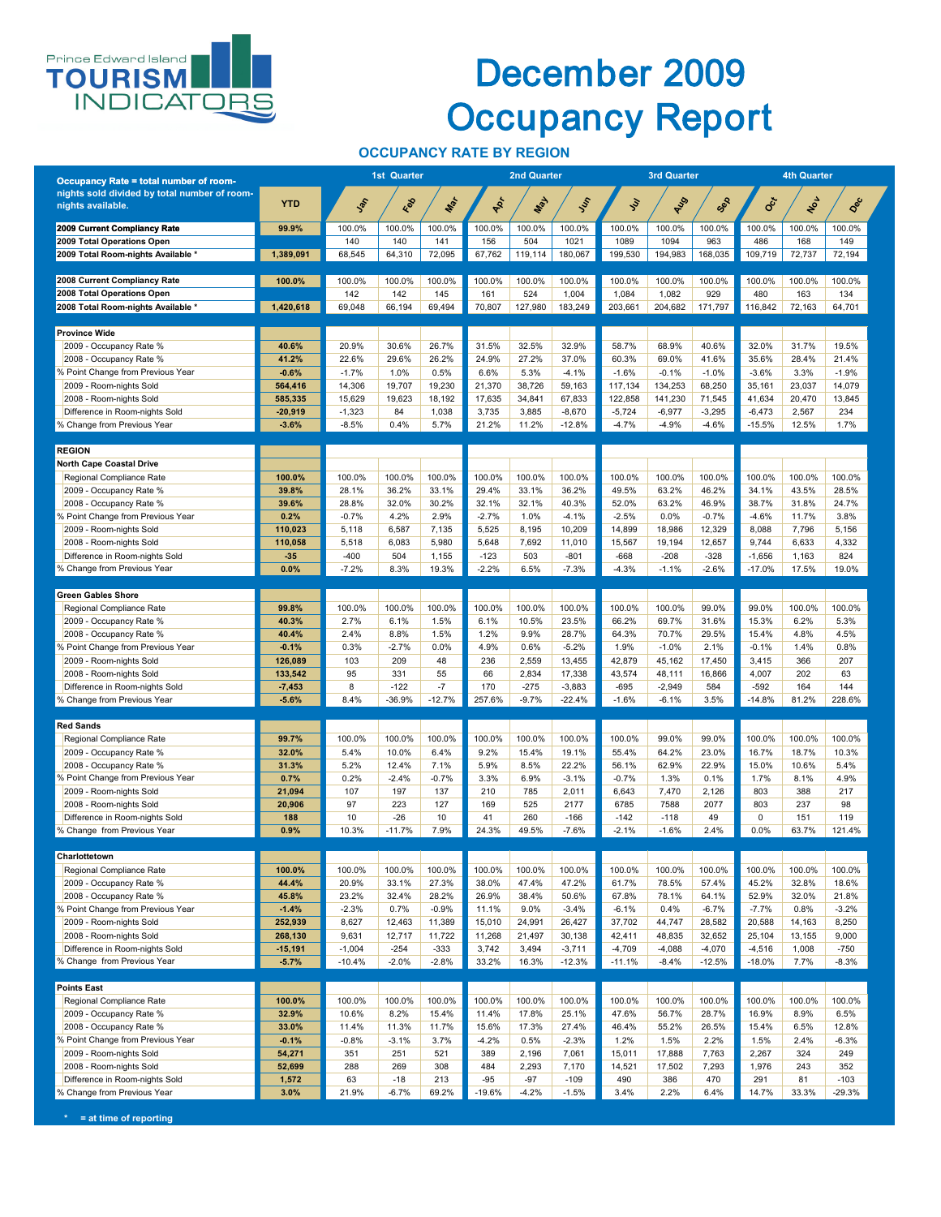

### December 2009 Occupancy Report

#### **OCCUPANCY RATE BY REGION**

| <b>Occupancy Rate = total number of room-</b>                 |                      | <b>1st Quarter</b>   |                   | <b>2nd Quarter</b> |                 |                 | <b>3rd Quarter</b>   |                      | <b>4th Quarter</b>  |                      |                                     |                 |                   |
|---------------------------------------------------------------|----------------------|----------------------|-------------------|--------------------|-----------------|-----------------|----------------------|----------------------|---------------------|----------------------|-------------------------------------|-----------------|-------------------|
| nights sold divided by total number of room-                  |                      |                      |                   |                    |                 |                 |                      |                      |                     |                      |                                     |                 |                   |
| nights available.                                             | <b>YTD</b>           | $\mathcal{S}$        | Eep               | Mar                | Apr             | <b>WAY</b>      | Just                 | $\mathcal{S}$        | RUS                 | Sep                  | $\mathcal{S}_{\mathcal{C}^{\star}}$ | Not             | Dec               |
| <b>2009 Current Compliancy Rate</b>                           | 99.9%                | 100.0%               | 100.0%            | 100.0%             | 100.0%          | 100.0%          | 100.0%               | 100.0%               | 100.0%              | 100.0%               | 100.0%                              | 100.0%          | 100.0%            |
| 2009 Total Operations Open                                    |                      | 140                  | 140               | 141                | 156             | 504             | 1021                 | 1089                 | 1094                | 963                  | 486                                 | 168             | 149               |
| 2009 Total Room-nights Available *                            | 1,389,091            | 68,545               | 64,310            | 72,095             | 67,762          | 119,114         | 180,067              | 199,530              | 194,983             | 168,035              | 109,719                             | 72,737          | 72,194            |
| 2008 Current Compliancy Rate                                  | 100.0%               | 100.0%               | 100.0%            | 100.0%             | 100.0%          | 100.0%          | 100.0%               | 100.0%               | 100.0%              | 100.0%               | 100.0%                              | 100.0%          | 100.0%            |
| 2008 Total Operations Open                                    |                      | 142                  | 142               | 145                | 161             | 524             | 1,004                | 1,084                | 1,082               | 929                  | 480                                 | 163             | 134               |
| 2008 Total Room-nights Available *                            | 1,420,618            | 69,048               | 66,194            | 69,494             | 70,807          | 127,980         | 183,249              | 203,661              | 204,682             | 171,797              | 116,842                             | 72,163          | 64,701            |
| <b>Province Wide</b>                                          |                      |                      |                   |                    |                 |                 |                      |                      |                     |                      |                                     |                 |                   |
| 2009 - Occupancy Rate %                                       | 40.6%                | 20.9%                | 30.6%             | 26.7%              | 31.5%           | 32.5%           | 32.9%                | 58.7%                | 68.9%               | 40.6%                | 32.0%                               | 31.7%           | 19.5%             |
| 2008 - Occupancy Rate %                                       | 41.2%                | 22.6%                | 29.6%             | 26.2%              | 24.9%           | 27.2%           | 37.0%                | 60.3%                | 69.0%               | 41.6%                | 35.6%                               | 28.4%           | 21.4%             |
| % Point Change from Previous Year<br>2009 - Room-nights Sold  | $-0.6%$<br>564,416   | $-1.7%$<br>14,306    | 1.0%<br>19,707    | 0.5%<br>19,230     | 6.6%<br>21,370  | 5.3%<br>38,726  | $-4.1%$<br>59,163    | $-1.6%$<br>117,134   | $-0.1%$<br>134,253  | $-1.0%$<br>68,250    | $-3.6%$<br>35,161                   | 3.3%<br>23,037  | $-1.9%$<br>14,079 |
| 2008 - Room-nights Sold                                       | 585,335              | 15,629               | 19,623            | 18,192             | 17,635          | 34,841          | 67,833               | 122,858              | 141,230             | 71,545               | 41,634                              | 20,470          | 13,845            |
| Difference in Room-nights Sold                                | $-20,919$            | $-1,323$             | 84                | 1,038              | 3,735           | 3,885           | $-8,670$             | $-5,724$             | $-6,977$            | $-3,295$             | $-6,473$                            | 2,567           | 234               |
| % Change from Previous Year                                   | $-3.6%$              | $-8.5%$              | 0.4%              | 5.7%               | 21.2%           | 11.2%           | $-12.8%$             | $-4.7%$              | -4.9%               | $-4.6%$              | $-15.5%$                            | 12.5%           | 1.7%              |
| <b>REGION</b>                                                 |                      |                      |                   |                    |                 |                 |                      |                      |                     |                      |                                     |                 |                   |
| <b>North Cape Coastal Drive</b>                               |                      |                      |                   |                    |                 |                 |                      |                      |                     |                      |                                     |                 |                   |
| Regional Compliance Rate<br>2009 - Occupancy Rate %           | 100.0%<br>39.8%      | 100.0%<br>28.1%      | 100.0%<br>36.2%   | 100.0%<br>33.1%    | 100.0%<br>29.4% | 100.0%<br>33.1% | 100.0%<br>36.2%      | 100.0%<br>49.5%      | 100.0%<br>63.2%     | 100.0%<br>46.2%      | 100.0%<br>34.1%                     | 100.0%<br>43.5% | 100.0%<br>28.5%   |
| 2008 - Occupancy Rate %                                       | 39.6%                | 28.8%                | 32.0%             | 30.2%              | 32.1%           | 32.1%           | 40.3%                | 52.0%                | 63.2%               | 46.9%                | 38.7%                               | 31.8%           | 24.7%             |
| % Point Change from Previous Year                             | 0.2%                 | $-0.7%$              | 4.2%              | 2.9%               | $-2.7%$         | 1.0%            | $-4.1%$              | $-2.5%$              | 0.0%                | $-0.7%$              | $-4.6%$                             | 11.7%           | 3.8%              |
| 2009 - Room-nights Sold                                       | 110,023              | 5,118                | 6,587             | 7,135              | 5,525           | 8,195           | 10,209               | 14,899               | 18,986              | 12,329               | 8,088                               | 7,796           | 5,156             |
| 2008 - Room-nights Sold<br>Difference in Room-nights Sold     | 110,058<br>$-35$     | 5,518<br>$-400$      | 6,083<br>504      | 5,980<br>1,155     | 5,648<br>$-123$ | 7,692<br>503    | 11,010<br>$-801$     | 15,567<br>$-668$     | 19,194<br>$-208$    | 12,657<br>$-328$     | 9,744<br>$-1,656$                   | 6,633<br>1,163  | 4,332<br>824      |
| % Change from Previous Year                                   | 0.0%                 | $-7.2%$              | 8.3%              | 19.3%              | $-2.2%$         | 6.5%            | $-7.3%$              | $-4.3%$              | $-1.1%$             | $-2.6%$              | $-17.0%$                            | 17.5%           | 19.0%             |
|                                                               |                      |                      |                   |                    |                 |                 |                      |                      |                     |                      |                                     |                 |                   |
| <b>Green Gables Shore</b><br>Regional Compliance Rate         | 99.8%                | 100.0%               | 100.0%            | 100.0%             | 100.0%          | 100.0%          | 100.0%               | 100.0%               | 100.0%              | 99.0%                | 99.0%                               | 100.0%          | 100.0%            |
| 2009 - Occupancy Rate %                                       | 40.3%                | 2.7%                 | 6.1%              | 1.5%               | 6.1%            | 10.5%           | 23.5%                | 66.2%                | 69.7%               | 31.6%                | 15.3%                               | 6.2%            | 5.3%              |
| 2008 - Occupancy Rate %                                       | 40.4%                | 2.4%                 | 8.8%              | 1.5%               | 1.2%            | 9.9%            | 28.7%                | 64.3%                | 70.7%               | 29.5%                | 15.4%                               | 4.8%            | 4.5%              |
| % Point Change from Previous Year                             | $-0.1%$              | 0.3%                 | $-2.7%$           | 0.0%               | 4.9%            | 0.6%            | $-5.2%$              | 1.9%                 | $-1.0%$             | 2.1%                 | $-0.1%$                             | 1.4%            | 0.8%              |
| 2009 - Room-nights Sold<br>2008 - Room-nights Sold            | 126,089<br>133,542   | 103<br>95            | 209<br>331        | 48<br>55           | 236<br>66       | 2,559<br>2,834  | 13,455<br>17,338     | 42,879<br>43,574     | 45,162<br>48,111    | 17,450<br>16,866     | 3,415<br>4,007                      | 366<br>202      | 207<br>63         |
| Difference in Room-nights Sold                                | $-7,453$             | 8                    | $-122$            | $-7$               | 170             | $-275$          | $-3,883$             | $-695$               | $-2,949$            | 584                  | $-592$                              | 164             | 144               |
| % Change from Previous Year                                   | $-5.6%$              | 8.4%                 | $-36.9%$          | $-12.7%$           | 257.6%          | $-9.7%$         | $-22.4%$             | $-1.6%$              | $-6.1%$             | 3.5%                 | $-14.8%$                            | 81.2%           | 228.6%            |
| <b>Red Sands</b>                                              |                      |                      |                   |                    |                 |                 |                      |                      |                     |                      |                                     |                 |                   |
| Regional Compliance Rate                                      | 99.7%                | 100.0%               | 100.0%            | 100.0%             | 100.0%          | 100.0%          | 100.0%               | 100.0%               | 99.0%               | 99.0%                | 100.0%                              | 100.0%          | 100.0%            |
| 2009 - Occupancy Rate %                                       | 32.0%                | 5.4%                 | 10.0%             | 6.4%               | 9.2%            | 15.4%           | 19.1%                | 55.4%                | 64.2%               | 23.0%                | 16.7%                               | 18.7%           | 10.3%             |
| 2008 - Occupancy Rate %<br>% Point Change from Previous Year  | 31.3%<br>0.7%        | 5.2%<br>0.2%         | 12.4%<br>$-2.4%$  | 7.1%<br>$-0.7%$    | 5.9%<br>3.3%    | 8.5%<br>6.9%    | 22.2%<br>$-3.1%$     | 56.1%<br>$-0.7%$     | 62.9%<br>1.3%       | 22.9%<br>0.1%        | 15.0%<br>1.7%                       | 10.6%<br>8.1%   | 5.4%<br>4.9%      |
| 2009 - Room-nights Sold                                       | 21,094               | 107                  | 197               | 137                | 210             | 785             | 2,011                | 6,643                | 7,470               | 2,126                | 803                                 | 388             | 217               |
| 2008 - Room-nights Sold                                       | 20,906               | 97                   | 223               | 127                | 169             | 525             | 2177                 | 6785                 | 7588                | 2077                 | 803                                 | 237             | 98                |
| Difference in Room-nights Sold                                | 188                  | 10                   | $-26$             | 10 <sup>°</sup>    | 41              | 260             | $-166$               | $-142$               | $-118$              | 49                   | $\mathbf 0$                         | 151             | 119               |
| % Change from Previous Year                                   | 0.9%                 | 10.3%                | $-11.7%$          | 7.9%               | 24.3%           | 49.5%           | $-7.6%$              | $-2.1%$              | $-1.6%$             | 2.4%                 | 0.0%                                | 63.7%           | 121.4%            |
| Charlottetown                                                 |                      |                      |                   |                    |                 |                 |                      |                      |                     |                      |                                     |                 |                   |
| Regional Compliance Rate                                      | 100.0%               | 100.0%               | 100.0%            | 100.0%             | 100.0%          | 100.0%          | 100.0%               | 100.0%               | 100.0%              | 100.0%               | 100.0%                              | 100.0%          | 100.0%            |
| 2009 - Occupancy Rate %<br>2008 - Occupancy Rate %            | 44.4%<br>45.8%       | 20.9%<br>23.2%       | 33.1%<br>32.4%    | 27.3%<br>28.2%     | 38.0%<br>26.9%  | 47.4%<br>38.4%  | 47.2%<br>50.6%       | 61.7%<br>67.8%       | 78.5%<br>78.1%      | 57.4%<br>64.1%       | 45.2%<br>52.9%                      | 32.8%<br>32.0%  | 18.6%<br>21.8%    |
| % Point Change from Previous Year                             | $-1.4%$              | $-2.3%$              | 0.7%              | $-0.9%$            | 11.1%           | 9.0%            | $-3.4%$              | $-6.1%$              | 0.4%                | $-6.7%$              | $-7.7%$                             | 0.8%            | $-3.2%$           |
| 2009 - Room-nights Sold                                       | 252,939              | 8,627                | 12,463            | 11,389             | 15,010          | 24,991          | 26,427               | 37,702               | 44,747              | 28,582               | 20,588                              | 14,163          | 8,250             |
| 2008 - Room-nights Sold                                       | 268,130              | 9,631                | 12,717            | 11,722             | 11,268          | 21,497          | 30,138               | 42,411               | 48,835              | 32,652               | 25,104                              | 13,155          | 9,000             |
| Difference in Room-nights Sold<br>% Change from Previous Year | $-15,191$<br>$-5.7%$ | $-1,004$<br>$-10.4%$ | $-254$<br>$-2.0%$ | $-333$<br>$-2.8%$  | 3,742<br>33.2%  | 3,494<br>16.3%  | $-3,711$<br>$-12.3%$ | $-4,709$<br>$-11.1%$ | $-4,088$<br>$-8.4%$ | $-4,070$<br>$-12.5%$ | $-4,516$<br>$-18.0%$                | 1,008<br>7.7%   | $-750$<br>$-8.3%$ |
|                                                               |                      |                      |                   |                    |                 |                 |                      |                      |                     |                      |                                     |                 |                   |
| <b>Points East</b>                                            |                      |                      |                   |                    |                 |                 |                      |                      |                     |                      |                                     |                 |                   |
| Regional Compliance Rate<br>2009 - Occupancy Rate %           | 100.0%<br>32.9%      | 100.0%<br>10.6%      | 100.0%<br>8.2%    | 100.0%<br>15.4%    | 100.0%<br>11.4% | 100.0%<br>17.8% | 100.0%<br>25.1%      | 100.0%<br>47.6%      | 100.0%<br>56.7%     | 100.0%<br>28.7%      | 100.0%<br>16.9%                     | 100.0%<br>8.9%  | 100.0%<br>6.5%    |
| 2008 - Occupancy Rate %                                       | 33.0%                | 11.4%                | 11.3%             | 11.7%              | 15.6%           | 17.3%           | 27.4%                | 46.4%                | 55.2%               | 26.5%                | 15.4%                               | 6.5%            | 12.8%             |
| % Point Change from Previous Year                             | $-0.1%$              | $-0.8%$              | $-3.1%$           | 3.7%               | $-4.2%$         | 0.5%            | $-2.3%$              | 1.2%                 | 1.5%                | 2.2%                 | 1.5%                                | 2.4%            | $-6.3%$           |
| 2009 - Room-nights Sold                                       | 54,271               | 351                  | 251               | 521                | 389             | 2,196           | 7,061                | 15,011               | 17,888              | 7,763                | 2,267                               | 324             | 249               |
| 2008 - Room-nights Sold<br>Difference in Room-nights Sold     | 52,699<br>1,572      | 288<br>63            | 269<br>$-18$      | 308<br>213         | 484<br>$-95$    | 2,293<br>$-97$  | 7,170<br>$-109$      | 14,521<br>490        | 17,502<br>386       | 7,293<br>470         | 1,976<br>291                        | 243<br>81       | 352<br>$-103$     |
| % Change from Previous Year                                   | 3.0%                 | 21.9%                | $-6.7%$           | 69.2%              | $-19.6%$        | $-4.2%$         | $-1.5%$              | 3.4%                 | 2.2%                | 6.4%                 | 14.7%                               | 33.3%           | $-29.3%$          |

**\* = at time of reporting**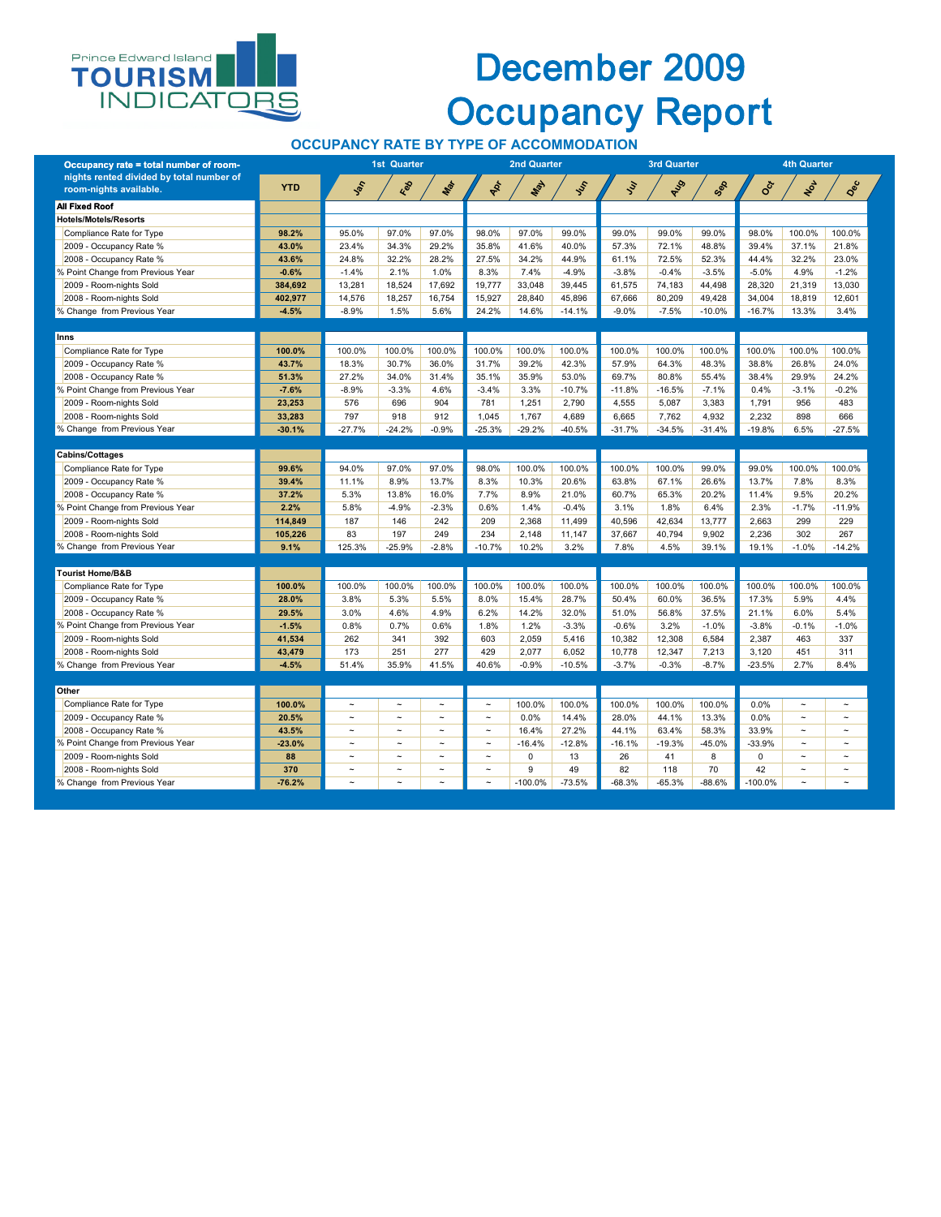#### **OCCUPANCY RATE BY TYPE OF ACCOMMODATION**



### December 2009 Occupancy Report

| Occupancy rate = total number of room-                             |            |          | <b>1st Quarter</b> |         |          | <b>2nd Quarter</b> |          |               | <b>3rd Quarter</b> |          | <b>4th Quarter</b> |         |          |  |
|--------------------------------------------------------------------|------------|----------|--------------------|---------|----------|--------------------|----------|---------------|--------------------|----------|--------------------|---------|----------|--|
| nights rented divided by total number of<br>room-nights available. | <b>YTD</b> | John     | Red                | Mar     | POL      | <b>May</b>         | Jus      | $\mathcal{S}$ | AUS                | Sep      | <b>Oct</b>         | Not     | Dec      |  |
| <b>All Fixed Roof</b>                                              |            |          |                    |         |          |                    |          |               |                    |          |                    |         |          |  |
| <b>Hotels/Motels/Resorts</b>                                       |            |          |                    |         |          |                    |          |               |                    |          |                    |         |          |  |
| Compliance Rate for Type                                           | 98.2%      | 95.0%    | 97.0%              | 97.0%   | 98.0%    | 97.0%              | 99.0%    | 99.0%         | 99.0%              | 99.0%    | 98.0%              | 100.0%  | 100.0%   |  |
| 2009 - Occupancy Rate %                                            | 43.0%      | 23.4%    | 34.3%              | 29.2%   | 35.8%    | 41.6%              | 40.0%    | 57.3%         | 72.1%              | 48.8%    | 39.4%              | 37.1%   | 21.8%    |  |
| 2008 - Occupancy Rate %                                            | 43.6%      | 24.8%    | 32.2%              | 28.2%   | 27.5%    | 34.2%              | 44.9%    | 61.1%         | 72.5%              | 52.3%    | 44.4%              | 32.2%   | 23.0%    |  |
| % Point Change from Previous Year                                  | $-0.6%$    | $-1.4%$  | 2.1%               | 1.0%    | 8.3%     | 7.4%               | $-4.9%$  | $-3.8%$       | $-0.4%$            | $-3.5%$  | $-5.0%$            | 4.9%    | $-1.2%$  |  |
| 2009 - Room-nights Sold                                            | 384,692    | 13,281   | 18,524             | 17,692  | 19,777   | 33,048             | 39,445   | 61,575        | 74,183             | 44,498   | 28,320             | 21,319  | 13,030   |  |
| 2008 - Room-nights Sold                                            | 402,977    | 14,576   | 18,257             | 16,754  | 15,927   | 28,840             | 45,896   | 67,666        | 80,209             | 49,428   | 34,004             | 18,819  | 12,601   |  |
| % Change from Previous Year                                        | $-4.5%$    | $-8.9%$  | 1.5%               | 5.6%    | 24.2%    | 14.6%              | $-14.1%$ | $-9.0%$       | $-7.5%$            | $-10.0%$ | $-16.7%$           | 13.3%   | 3.4%     |  |
| <b>Inns</b>                                                        |            |          |                    |         |          |                    |          |               |                    |          |                    |         |          |  |
| Compliance Rate for Type                                           | 100.0%     | 100.0%   | 100.0%             | 100.0%  | 100.0%   | 100.0%             | 100.0%   | 100.0%        | 100.0%             | 100.0%   | 100.0%             | 100.0%  | 100.0%   |  |
| 2009 - Occupancy Rate %                                            | 43.7%      | 18.3%    | 30.7%              | 36.0%   | 31.7%    | 39.2%              | 42.3%    | 57.9%         | 64.3%              | 48.3%    | 38.8%              | 26.8%   | 24.0%    |  |
| 2008 - Occupancy Rate %                                            | 51.3%      | 27.2%    | 34.0%              | 31.4%   | 35.1%    | 35.9%              | 53.0%    | 69.7%         | 80.8%              | 55.4%    | 38.4%              | 29.9%   | 24.2%    |  |
| % Point Change from Previous Year                                  | $-7.6%$    | $-8.9%$  | $-3.3%$            | 4.6%    | $-3.4%$  | 3.3%               | $-10.7%$ | $-11.8%$      | $-16.5%$           | $-7.1%$  | 0.4%               | $-3.1%$ | $-0.2%$  |  |
| 2009 - Room-nights Sold                                            | 23,253     | 576      | 696                | 904     | 781      | 1,251              | 2,790    | 4,555         | 5,087              | 3,383    | 1,791              | 956     | 483      |  |
| 2008 - Room-nights Sold                                            | 33,283     | 797      | 918                | 912     | 1,045    | 1,767              | 4,689    | 6,665         | 7,762              | 4,932    | 2,232              | 898     | 666      |  |
| % Change from Previous Year                                        | $-30.1%$   | $-27.7%$ | $-24.2%$           | $-0.9%$ | $-25.3%$ | $-29.2%$           | $-40.5%$ | $-31.7%$      | $-34.5%$           | $-31.4%$ | $-19.8%$           | 6.5%    | $-27.5%$ |  |
|                                                                    |            |          |                    |         |          |                    |          |               |                    |          |                    |         |          |  |
| <b>Cabins/Cottages</b>                                             |            |          |                    |         |          |                    |          |               |                    |          |                    |         |          |  |
| Compliance Rate for Type                                           | 99.6%      | 94.0%    | 97.0%              | 97.0%   | 98.0%    | 100.0%             | 100.0%   | 100.0%        | 100.0%             | 99.0%    | 99.0%              | 100.0%  | 100.0%   |  |
| 2009 - Occupancy Rate %                                            | 39.4%      | 11.1%    | 8.9%               | 13.7%   | 8.3%     | 10.3%              | 20.6%    | 63.8%         | 67.1%              | 26.6%    | 13.7%              | 7.8%    | 8.3%     |  |
| 2008 - Occupancy Rate %                                            | 37.2%      | 5.3%     | 13.8%              | 16.0%   | 7.7%     | 8.9%               | 21.0%    | 60.7%         | 65.3%              | 20.2%    | 11.4%              | 9.5%    | 20.2%    |  |
| % Point Change from Previous Year                                  | 2.2%       | 5.8%     | $-4.9%$            | $-2.3%$ | 0.6%     | 1.4%               | $-0.4%$  | 3.1%          | 1.8%               | 6.4%     | 2.3%               | $-1.7%$ | $-11.9%$ |  |
| 2009 - Room-nights Sold                                            | 114,849    | 187      | 146                | 242     | 209      | 2,368              | 11,499   | 40,596        | 42,634             | 13,777   | 2,663              | 299     | 229      |  |
| 2008 - Room-nights Sold                                            | 105,226    | 83       | 197                | 249     | 234      | 2,148              | 11,147   | 37,667        | 40,794             | 9,902    | 2,236              | 302     | 267      |  |
| % Change from Previous Year                                        | 9.1%       | 125.3%   | $-25.9%$           | $-2.8%$ | $-10.7%$ | 10.2%              | 3.2%     | 7.8%          | 4.5%               | 39.1%    | 19.1%              | $-1.0%$ | $-14.2%$ |  |
| <b>Tourist Home/B&amp;B</b>                                        |            |          |                    |         |          |                    |          |               |                    |          |                    |         |          |  |
| Compliance Rate for Type                                           | 100.0%     | 100.0%   | 100.0%             | 100.0%  | 100.0%   | 100.0%             | 100.0%   | 100.0%        | 100.0%             | 100.0%   | 100.0%             | 100.0%  | 100.0%   |  |
| 2009 - Occupancy Rate %                                            | 28.0%      | 3.8%     | 5.3%               | 5.5%    | 8.0%     | 15.4%              | 28.7%    | 50.4%         | 60.0%              | 36.5%    | 17.3%              | 5.9%    | 4.4%     |  |
| 2008 - Occupancy Rate %                                            | 29.5%      | 3.0%     | 4.6%               | 4.9%    | 6.2%     | 14.2%              | 32.0%    | 51.0%         | 56.8%              | 37.5%    | 21.1%              | 6.0%    | 5.4%     |  |
| % Point Change from Previous Year                                  | $-1.5%$    | 0.8%     | 0.7%               | 0.6%    | 1.8%     | 1.2%               | $-3.3%$  | $-0.6%$       | 3.2%               | $-1.0%$  | $-3.8%$            | $-0.1%$ | $-1.0%$  |  |
| 2009 - Room-nights Sold                                            | 41,534     | 262      | 341                | 392     | 603      | 2,059              | 5,416    | 10,382        | 12,308             | 6,584    | 2,387              | 463     | 337      |  |
| 2008 - Room-nights Sold                                            | 43,479     | 173      | 251                | 277     | 429      | 2,077              | 6,052    | 10,778        | 12,347             | 7,213    | 3,120              | 451     | 311      |  |
| % Change from Previous Year                                        | $-4.5%$    | 51.4%    | 35.9%              | 41.5%   | 40.6%    | $-0.9%$            | $-10.5%$ | $-3.7%$       | $-0.3%$            | $-8.7%$  | $-23.5%$           | 2.7%    | 8.4%     |  |

| UUIUI                             |          |                       |                       |                       |                       |            |             |          |          |          |            |        |                       |
|-----------------------------------|----------|-----------------------|-----------------------|-----------------------|-----------------------|------------|-------------|----------|----------|----------|------------|--------|-----------------------|
| Compliance Rate for Type          | 100.0%   | $\tilde{\phantom{a}}$ | $\sim$                | $\tilde{\phantom{a}}$ | $\tilde{\phantom{a}}$ | 100.0%     | $100.0\%$ . | 100.0%   | 100.0%   | 100.0%   | 0.0%       | $\sim$ | $\tilde{\phantom{a}}$ |
| 2009 - Occupancy Rate %           | 20.5%    | $\tilde{\phantom{a}}$ | $\tilde{\phantom{a}}$ |                       | $\tilde{\phantom{a}}$ | 0.0%       | 14.4%       | 28.0%    | 44.1%    | 13.3%    | 0.0%       | $\sim$ | $\tilde{\phantom{a}}$ |
| 2008 - Occupancy Rate %           | 43.5%    | $\tilde{\phantom{a}}$ | $\tilde{\phantom{a}}$ |                       | $\tilde{\phantom{a}}$ | 16.4%      | 27.2%       | 44.1%    | 63.4%    | 58.3%    | 33.9%      | $\sim$ | $\tilde{\phantom{a}}$ |
| % Point Change from Previous Year | $-23.0%$ | $\tilde{\phantom{a}}$ | $\sim$                | $\tilde{\phantom{a}}$ | $\tilde{\phantom{a}}$ | $-16.4%$   | $-12.8%$    | $-16.1%$ | $-19.3%$ | $-45.0%$ | $-33.9%$   | $\sim$ | $\tilde{\phantom{a}}$ |
| 2009 - Room-nights Sold           | 88       |                       | $\tilde{\phantom{a}}$ | $\tilde{\phantom{a}}$ | $\tilde{\phantom{a}}$ |            | 13          | 26       | 41       | $\circ$  |            | $\sim$ | $\tilde{\phantom{a}}$ |
| 2008 - Room-nights Sold           | 370      | $\tilde{\phantom{a}}$ | $\sim$                | $\tilde{\phantom{a}}$ | $\tilde{\phantom{a}}$ |            | 49          | 82       | 118      | 70       | 42         | $\sim$ | $\tilde{\phantom{a}}$ |
| % Change from Previous Year       | $-76.2%$ | $\tilde{\phantom{a}}$ | $\tilde{\phantom{a}}$ | $\tilde{\phantom{a}}$ | $\tilde{\phantom{a}}$ | $-100.0\%$ | $-73.5%$    | $-68.3%$ | $-65.3%$ | $-88.6%$ | $-100.0\%$ | $\sim$ | $\tilde{\phantom{a}}$ |
|                                   |          |                       |                       |                       |                       |            |             |          |          |          |            |        |                       |

**Other**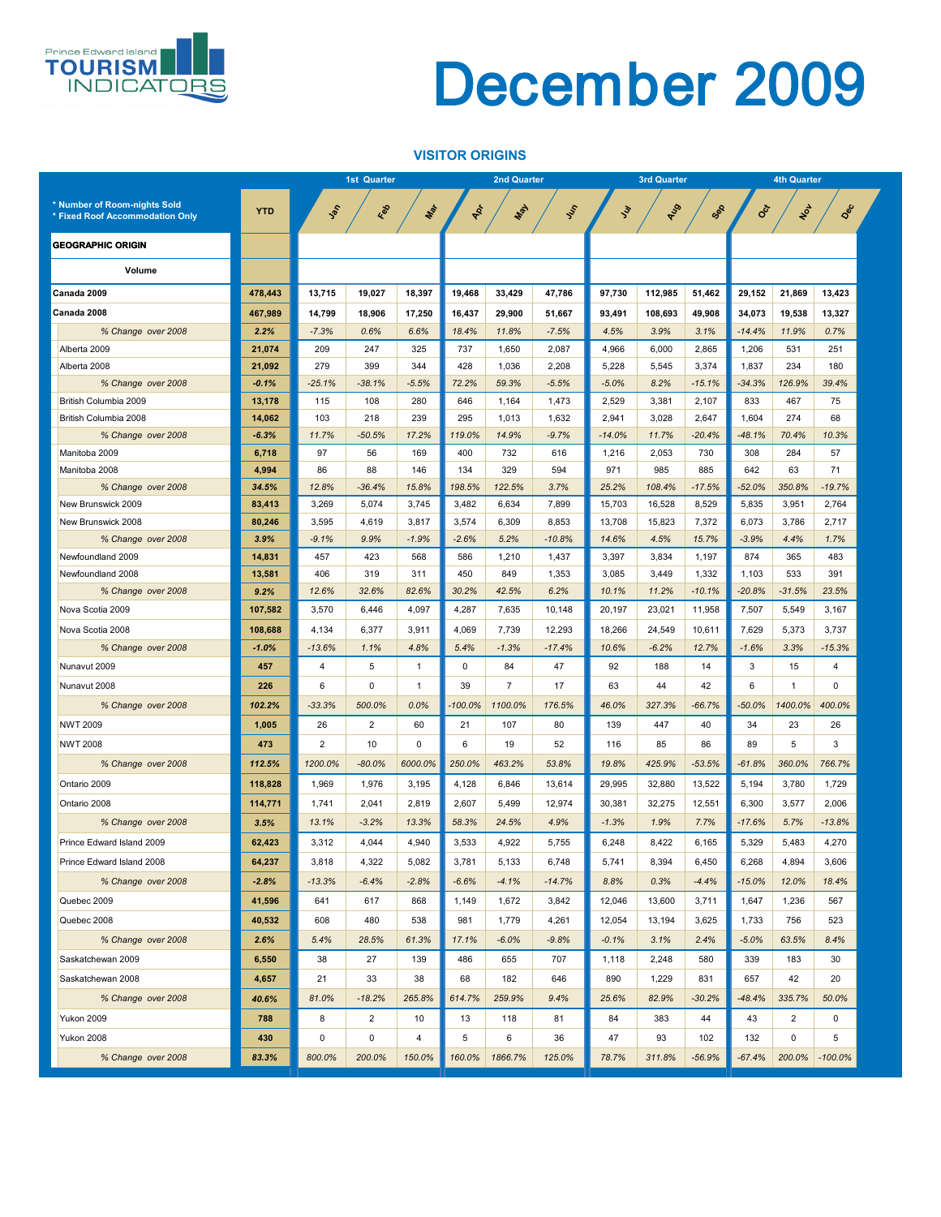#### **VISITOR ORIGINS**



|                                 |            |                | <b>1st Quarter</b> |                 |                | <b>2nd Quarter</b> |            |               | <b>3rd Quarter</b> |          | <b>4th Quarter</b> |                 |                 |  |
|---------------------------------|------------|----------------|--------------------|-----------------|----------------|--------------------|------------|---------------|--------------------|----------|--------------------|-----------------|-----------------|--|
| * Number of Room-nights Sold    |            |                |                    |                 |                |                    |            |               |                    |          |                    |                 |                 |  |
| * Fixed Roof Accommodation Only | <b>YTD</b> | Jan            | Red                | Mar             | POL            | Nay                | <b>SSS</b> | $\mathcal{L}$ | <b>AUS</b>         | Sep      | Oct                | NOV             | Dec             |  |
| <b>GEOGRAPHIC ORIGIN</b>        |            |                |                    |                 |                |                    |            |               |                    |          |                    |                 |                 |  |
|                                 |            |                |                    |                 |                |                    |            |               |                    |          |                    |                 |                 |  |
| <b>Volume</b>                   |            |                |                    |                 |                |                    |            |               |                    |          |                    |                 |                 |  |
| Canada 2009                     | 478,443    | 13,715         | 19,027             | 18,397          | 19,468         | 33,429             | 47,786     | 97,730        | 112,985            | 51,462   | 29,152             | 21,869          | 13,423          |  |
| Canada 2008                     | 467,989    | 14,799         | 18,906             | 17,250          | 16,437         | 29,900             | 51,667     | 93,491        | 108,693            | 49,908   | 34,073             | 19,538          | 13,327          |  |
| % Change over 2008              | 2.2%       | $-7.3%$        | 0.6%               | 6.6%            | 18.4%          | 11.8%              | $-7.5%$    | 4.5%          | 3.9%               | 3.1%     | $-14.4%$           | 11.9%           | 0.7%            |  |
| Alberta 2009                    | 21,074     | 209            | 247                | 325             | 737            | 1,650              | 2,087      | 4,966         | 6,000              | 2,865    | 1,206              | 531             | 251             |  |
| Alberta 2008                    | 21,092     | 279            | 399                | 344             | 428            | 1,036              | 2,208      | 5,228         | 5,545              | 3,374    | 1,837              | 234             | 180             |  |
| % Change over 2008              | $-0.1%$    | $-25.1%$       | $-38.1%$           | $-5.5%$         | 72.2%          | 59.3%              | $-5.5%$    | $-5.0%$       | 8.2%               | $-15.1%$ | $-34.3%$           | 126.9%          | 39.4%           |  |
| British Columbia 2009           | 13,178     | 115            | 108                | 280             | 646            | 1,164              | 1,473      | 2,529         | 3,381              | 2,107    | 833                | 467             | 75              |  |
| British Columbia 2008           | 14,062     | 103            | 218                | 239             | 295            | 1,013              | 1,632      | 2,941         | 3,028              | 2,647    | 1,604              | 274             | 68              |  |
| % Change over 2008              | $-6.3%$    | 11.7%          | $-50.5%$           | 17.2%           | 119.0%         | 14.9%              | $-9.7%$    | $-14.0%$      | 11.7%              | $-20.4%$ | $-48.1%$           | 70.4%           | 10.3%           |  |
| Manitoba 2009                   | 6,718      | 97             | 56                 | 169             | 400            | 732                | 616        | 1,216         | 2,053              | 730      | 308                | 284             | 57              |  |
| Manitoba 2008                   | 4,994      | 86             | 88                 | 146             | 134            | 329                | 594        | 971           | 985                | 885      | 642                | 63              | 71              |  |
| % Change over 2008              | 34.5%      | 12.8%          | $-36.4%$           | 15.8%           | 198.5%         | 122.5%             | 3.7%       | 25.2%         | 108.4%             | $-17.5%$ | $-52.0%$           | 350.8%          | $-19.7%$        |  |
| New Brunswick 2009              | 83,413     | 3,269          | 5,074              | 3,745           | 3,482          | 6,634              | 7,899      | 15,703        | 16,528             | 8,529    | 5,835              | 3,951           | 2,764           |  |
| New Brunswick 2008              | 80,246     | 3,595          | 4,619              | 3,817           | 3,574          | 6,309              | 8,853      | 13,708        | 15,823             | 7,372    | 6,073              | 3,786           | 2,717           |  |
| % Change over 2008              | 3.9%       | $-9.1%$        | 9.9%               | $-1.9%$         | $-2.6%$        | 5.2%               | $-10.8%$   | 14.6%         | 4.5%               | 15.7%    | $-3.9%$            | 4.4%            | 1.7%            |  |
| Newfoundland 2009               | 14,831     | 457            | 423                | 568             | 586            | 1,210              | 1,437      | 3,397         | 3,834              | 1,197    | 874                | 365             | 483             |  |
| Newfoundland 2008               | 13,581     | 406            | 319                | 311             | 450            | 849                | 1,353      | 3,085         | 3,449              | 1,332    | 1,103              | 533             | 391             |  |
| % Change over 2008              | 9.2%       | 12.6%          | 32.6%              | 82.6%           | 30.2%          | 42.5%              | 6.2%       | 10.1%         | 11.2%              | $-10.1%$ | $-20.8%$           | $-31.5%$        | 23.5%           |  |
| Nova Scotia 2009                | 107,582    | 3,570          | 6,446              | 4,097           | 4,287          | 7,635              | 10,148     | 20,197        | 23,021             | 11,958   | 7,507              | 5,549           | 3,167           |  |
| Nova Scotia 2008                | 108,688    | 4,134          | 6,377              | 3,911           | 4,069          | 7,739              | 12,293     | 18,266        | 24,549             | 10,611   | 7,629              | 5,373           | 3,737           |  |
| % Change over 2008              | $-1.0%$    | $-13.6%$       | 1.1%               | 4.8%            | 5.4%           | $-1.3%$            | $-17.4%$   | 10.6%         | $-6.2%$            | 12.7%    | $-1.6%$            | 3.3%            | $-15.3%$        |  |
| Nunavut 2009                    | 457        | 4              | 5 <sup>5</sup>     |                 | $\overline{0}$ | 84                 | 47         | 92            | 188                | 14       | $\mathfrak{S}$     | 15              | 4               |  |
| Nunavut 2008                    | 226        | 6              | $\mathbf 0$        |                 | 39             |                    | 17         | 63            | 44                 | 42       | $6\phantom{1}$     | 1               | $\mathbf 0$     |  |
| % Change over 2008              | 102.2%     | $-33.3%$       | 500.0%             | 0.0%            | $-100.0\%$     | 1100.0%            | 176.5%     | 46.0%         | 327.3%             | $-66.7%$ | $-50.0%$           | 1400.0%         | 400.0%          |  |
| <b>NWT 2009</b>                 | 1,005      | 26             | $2^{\circ}$        | 60              | 21             | 107                | 80         | 139           | 447                | 40       | 34                 | 23              | 26              |  |
| <b>NWT 2008</b>                 | 473        | $\overline{2}$ | 10                 | 0               | 6              | 19                 | 52         | 116           | 85                 | 86       | 89                 | $5\overline{)}$ | 3               |  |
| % Change over 2008              | 112.5%     | 1200.0%        | $-80.0%$           | 6000.0%         | 250.0%         | 463.2%             | 53.8%      | 19.8%         | 425.9%             | $-53.5%$ | $-61.8%$           | 360.0%          | 766.7%          |  |
| Ontario 2009                    | 118,828    | 1,969          | 1,976              | 3,195           | 4,128          | 6,846              | 13,614     | 29,995        | 32,880             | 13,522   | 5,194              | 3,780           | 1,729           |  |
| Ontario 2008                    | 114,771    | 1,741          | 2,041              | 2,819           | 2,607          | 5,499              | 12,974     | 30,381        | 32,275             | 12,551   | 6,300              | 3,577           | 2,006           |  |
| % Change over 2008              | 3.5%       | 13.1%          | $-3.2%$            | 13.3%           | 58.3%          | 24.5%              | 4.9%       | $-1.3%$       | 1.9%               | 7.7%     | $-17.6%$           | 5.7%            | $-13.8%$        |  |
| Prince Edward Island 2009       | 62,423     | 3,312          | 4,044              | 4,940           | 3,533          | 4,922              | 5,755      | 6,248         | 8,422              | 6,165    | 5,329              | 5,483           | 4,270           |  |
| Prince Edward Island 2008       | 64,237     |                |                    | 5,082           | 3,781          | 5,133              | 6,748      | 5,741         | 8,394              | 6,450    | 6,268              |                 | 3,606           |  |
|                                 |            | 3,818          | 4,322              |                 |                |                    |            |               |                    |          |                    | 4,894           |                 |  |
| % Change over 2008              | $-2.8%$    | $-13.3%$       | $-6.4%$            | $-2.8%$         | $-6.6%$        | $-4.1%$            | $-14.7%$   | 8.8%          | 0.3%               | $-4.4%$  | $-15.0%$           | 12.0%           | 18.4%           |  |
| Quebec 2009                     | 41,596     | 641            | 617                | 868             | 1,149          | 1,672              | 3,842      | 12,046        | 13,600             | 3,711    | 1,647              | 1,236           | 567             |  |
| Quebec 2008                     | 40,532     | 608            | 480                | 538             | 981            | 1,779              | 4,261      | 12,054        | 13,194             | 3,625    | 1,733              | 756             | 523             |  |
| % Change over 2008              | 2.6%       | 5.4%           | 28.5%              | 61.3%           | 17.1%          | $-6.0%$            | $-9.8%$    | $-0.1%$       | 3.1%               | 2.4%     | $-5.0%$            | 63.5%           | 8.4%            |  |
| Saskatchewan 2009               | 6,550      | 38             | 27                 | 139             | 486            | 655                | 707        | 1,118         | 2,248              | 580      | 339                | 183             | 30              |  |
| Saskatchewan 2008               | 4,657      | 21             | 33                 | 38              | 68             | 182                | 646        | 890           | 1,229              | 831      | 657                | 42              | 20              |  |
| % Change over 2008              | 40.6%      | 81.0%          | $-18.2%$           | 265.8%          | 614.7%         | 259.9%             | 9.4%       | 25.6%         | 82.9%              | $-30.2%$ | $-48.4%$           | 335.7%          | 50.0%           |  |
| Yukon 2009                      | 788        | 8              | 2 <sup>1</sup>     | 10 <sup>°</sup> | 13             | 118                | 81         | 84            | 383                | 44       | 43                 | $\overline{2}$  | $\mathbf 0$     |  |
| Yukon 2008                      | 430        | $\overline{0}$ | $\mathbf 0$        | 4               | 5              | 6                  | 36         | 47            | 93                 | 102      | 132                | $\mathbf 0$     | $5\phantom{.0}$ |  |
| % Change over 2008              | 83.3%      | 800.0%         | 200.0%             | 150.0%          | 160.0%         | 1866.7%            | 125.0%     | 78.7%         | 311.8%             | $-56.9%$ | $-67.4%$           | 200.0%          | $-100.0\%$      |  |
|                                 |            |                |                    |                 |                |                    |            |               |                    |          |                    |                 |                 |  |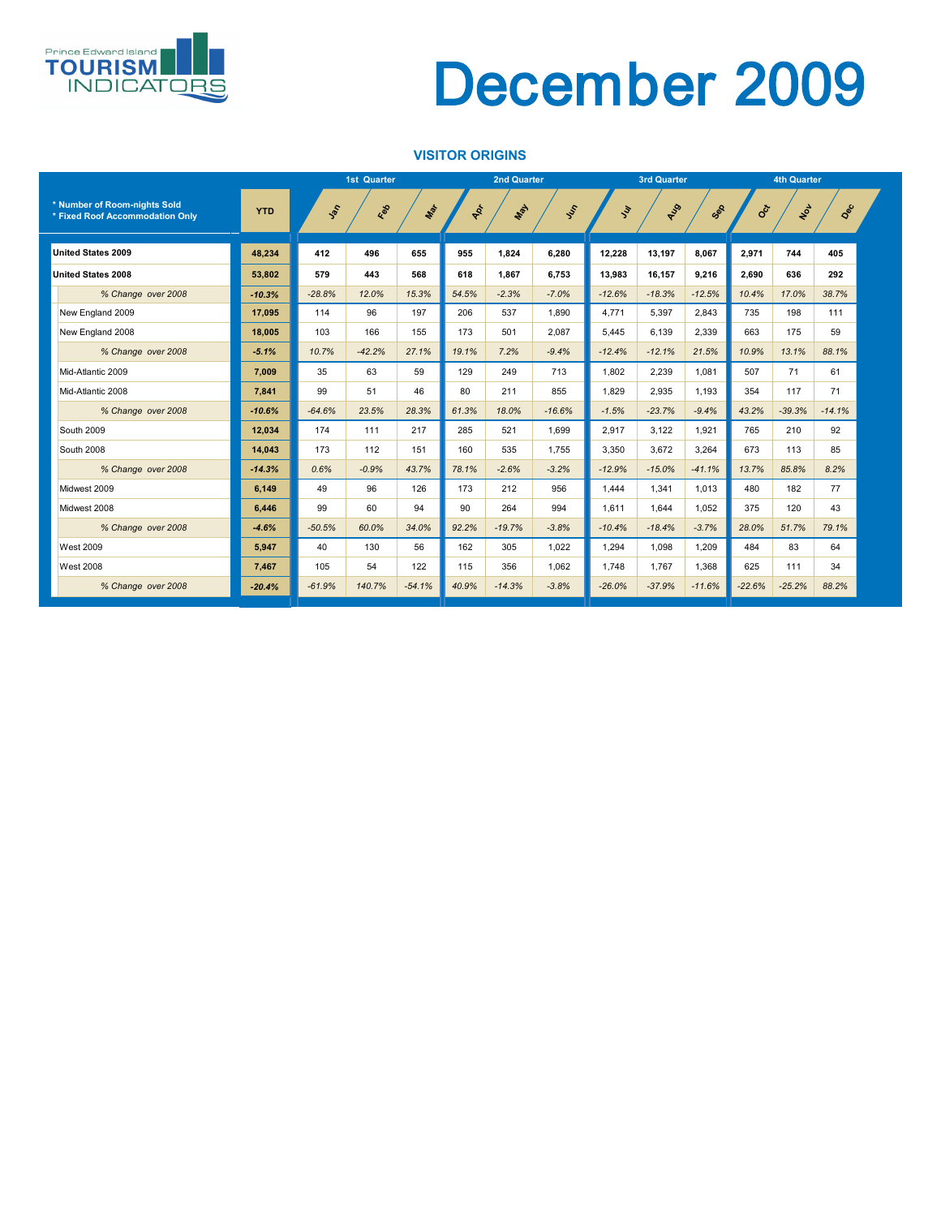#### **VISITOR ORIGINS**



|                                                                 |            |          | <b>1st Quarter</b> |          |       | <b>2nd Quarter</b> |          |               | <b>3rd Quarter</b> |          | <b>4th Quarter</b> |          |          |  |
|-----------------------------------------------------------------|------------|----------|--------------------|----------|-------|--------------------|----------|---------------|--------------------|----------|--------------------|----------|----------|--|
| * Number of Room-nights Sold<br>* Fixed Roof Accommodation Only | <b>YTD</b> | Jan      | Red                | Max      | AD+   | Max                | SSS      | $\mathcal{E}$ | RUS                | Sep      | <b>SOCT</b>        | NOL      | Dec      |  |
| <b>United States 2009</b>                                       | 48,234     | 412      | 496                | 655      | 955   | 1,824              | 6,280    | 12,228        | 13,197             | 8,067    | 2,971              | 744      | 405      |  |
| <b>United States 2008</b>                                       | 53,802     | 579      | 443                | 568      | 618   | 1,867              | 6,753    | 13,983        | 16,157             | 9,216    | 2,690              | 636      | 292      |  |
| % Change over 2008                                              | $-10.3%$   | $-28.8%$ | 12.0%              | 15.3%    | 54.5% | $-2.3%$            | $-7.0%$  | $-12.6%$      | $-18.3%$           | $-12.5%$ | 10.4%              | 17.0%    | 38.7%    |  |
| New England 2009                                                | 17,095     | 114      | 96                 | 197      | 206   | 537                | 1,890    | 4,771         | 5,397              | 2,843    | 735                | 198      | 111      |  |
| New England 2008                                                | 18,005     | 103      | 166                | 155      | 173   | 501                | 2,087    | 5,445         | 6,139              | 2,339    | 663                | 175      | 59       |  |
| % Change over 2008                                              | $-5.1%$    | 10.7%    | $-42.2%$           | 27.1%    | 19.1% | 7.2%               | $-9.4%$  | $-12.4%$      | $-12.1%$           | 21.5%    | 10.9%              | 13.1%    | 88.1%    |  |
| Mid-Atlantic 2009                                               | 7,009      | 35       | 63                 | 59       | 129   | 249                | 713      | 1,802         | 2,239              | 1,081    | 507                | 71       | 61       |  |
| Mid-Atlantic 2008                                               | 7,841      | 99       | 51                 | 46       | 80    | 211                | 855      | 1,829         | 2,935              | 1,193    | 354                | 117      | 71       |  |
| % Change over 2008                                              | $-10.6%$   | $-64.6%$ | 23.5%              | 28.3%    | 61.3% | 18.0%              | $-16.6%$ | $-1.5%$       | $-23.7%$           | $-9.4%$  | 43.2%              | $-39.3%$ | $-14.1%$ |  |
| South 2009                                                      | 12,034     | 174      | 111                | 217      | 285   | 521                | 1,699    | 2,917         | 3,122              | 1,921    | 765                | 210      | 92       |  |
| South 2008                                                      | 14,043     | 173      | 112                | 151      | 160   | 535                | 1,755    | 3,350         | 3,672              | 3,264    | 673                | 113      | 85       |  |
| % Change over 2008                                              | $-14.3%$   | 0.6%     | $-0.9%$            | 43.7%    | 78.1% | $-2.6%$            | $-3.2%$  | $-12.9%$      | $-15.0%$           | $-41.1%$ | 13.7%              | 85.8%    | 8.2%     |  |
| Midwest 2009                                                    | 6,149      | 49       | 96                 | 126      | 173   | 212                | 956      | 1,444         | 1,341              | 1,013    | 480                | 182      | 77       |  |
| Midwest 2008                                                    | 6,446      | 99       | 60                 | 94       | 90    | 264                | 994      | 1,611         | 1,644              | 1,052    | 375                | 120      | 43       |  |
| % Change over 2008                                              | $-4.6%$    | $-50.5%$ | 60.0%              | 34.0%    | 92.2% | $-19.7%$           | $-3.8%$  | $-10.4%$      | $-18.4%$           | $-3.7%$  | 28.0%              | 51.7%    | 79.1%    |  |
| <b>West 2009</b>                                                | 5,947      | 40       | 130                | 56       | 162   | 305                | 1,022    | 1,294         | 1,098              | 1,209    | 484                | 83       | 64       |  |
| <b>West 2008</b>                                                | 7,467      | 105      | 54                 | 122      | 115   | 356                | 1,062    | 1,748         | 1,767              | 1,368    | 625                | 111      | 34       |  |
| % Change over 2008                                              | $-20.4%$   | $-61.9%$ | 140.7%             | $-54.1%$ | 40.9% | $-14.3%$           | $-3.8%$  | $-26.0%$      | $-37.9%$           | $-11.6%$ | $-22.6%$           | $-25.2%$ | 88.2%    |  |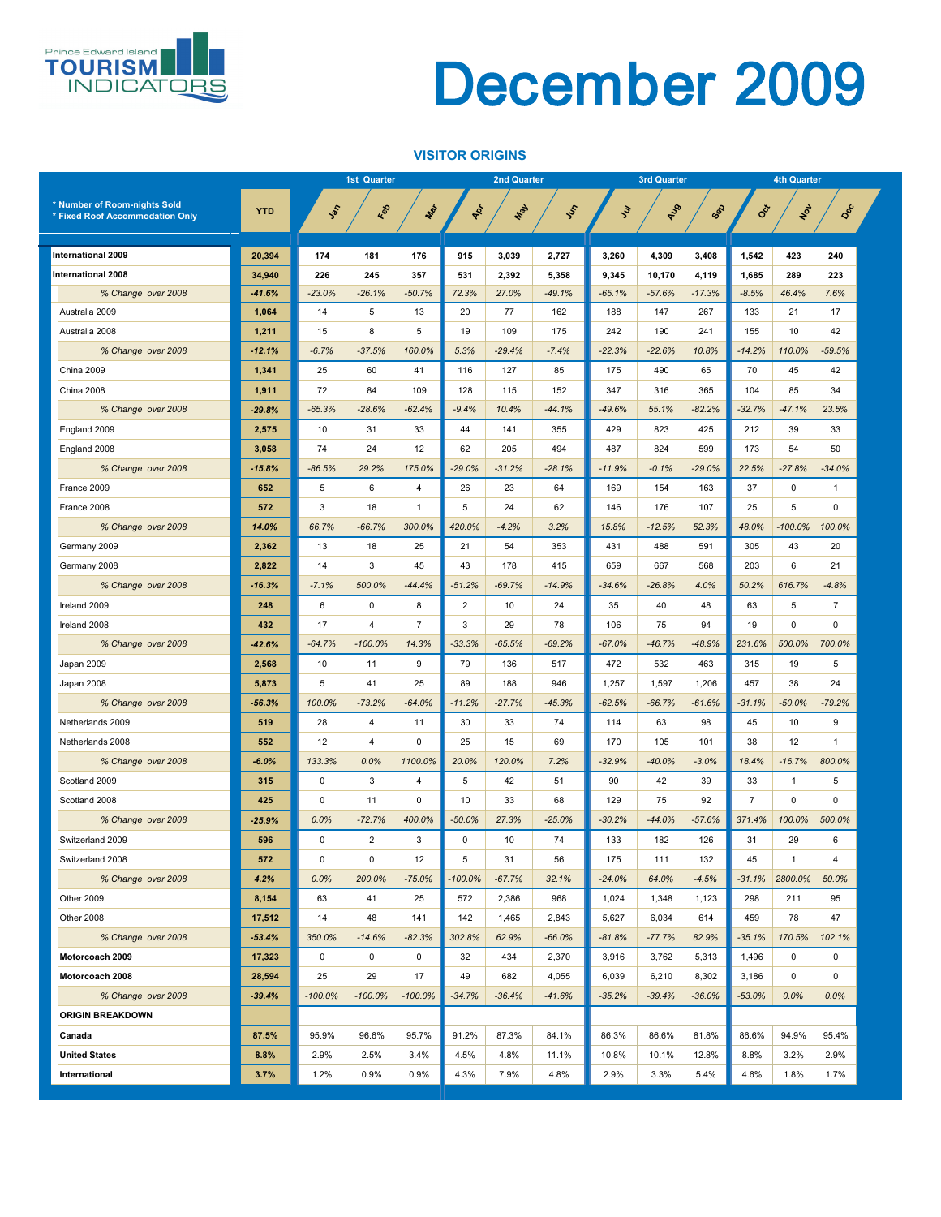#### **VISITOR ORIGINS**



|                                 |            |                 | <b>1st Quarter</b> |                |                 | <b>2nd Quarter</b> |          |               | <b>3rd Quarter</b> |          | <b>4th Quarter</b> |                 |                 |  |
|---------------------------------|------------|-----------------|--------------------|----------------|-----------------|--------------------|----------|---------------|--------------------|----------|--------------------|-----------------|-----------------|--|
| * Number of Room-nights Sold    |            |                 |                    |                |                 |                    |          |               |                    |          |                    |                 |                 |  |
| * Fixed Roof Accommodation Only | <b>YTD</b> | John            | Red                | Max            | PRI             | <b>May</b>         | Iss      | $\mathcal{L}$ | AUS                | Sep      | <b>SOLT</b>        | NOL             | Dec             |  |
|                                 |            |                 |                    |                |                 |                    |          |               |                    |          |                    |                 |                 |  |
| <b>International 2009</b>       | 20,394     | 174             | 181                | 176            | 915             | 3,039              | 2,727    | 3,260         | 4,309              | 3,408    | 1,542              | 423             | 240             |  |
| <b>International 2008</b>       | 34,940     | 226             | 245                | 357            | 531             | 2,392              | 5,358    | 9,345         | 10,170             | 4,119    | 1,685              | 289             | 223             |  |
| % Change over 2008              | $-41.6%$   | $-23.0%$        | $-26.1%$           | $-50.7%$       | 72.3%           | 27.0%              | $-49.1%$ | $-65.1%$      | $-57.6%$           | $-17.3%$ | $-8.5%$            | 46.4%           | 7.6%            |  |
| Australia 2009                  | 1,064      | 14              | $5\overline{)}$    | 13             | 20              | 77                 | 162      | 188           | 147                | 267      | 133                | 21              | 17              |  |
| Australia 2008                  | 1,211      | 15              | 8                  | 5              | 19              | 109                | 175      | 242           | 190                | 241      | 155                | 10              | 42              |  |
| % Change over 2008              | $-12.1%$   | $-6.7%$         | $-37.5%$           | 160.0%         | 5.3%            | $-29.4%$           | $-7.4%$  | $-22.3%$      | $-22.6%$           | 10.8%    | $-14.2%$           | 110.0%          | $-59.5%$        |  |
| China 2009                      | 1,341      | 25              | 60                 | 41             | 116             | 127                | 85       | 175           | 490                | 65       | 70                 | 45              | 42              |  |
| China 2008                      | 1,911      | 72              | 84                 | 109            | 128             | 115                | 152      | 347           | 316                | 365      | 104                | 85              | 34              |  |
| % Change over 2008              | $-29.8%$   | $-65.3%$        | $-28.6%$           | $-62.4%$       | $-9.4%$         | 10.4%              | $-44.1%$ | $-49.6%$      | 55.1%              | $-82.2%$ | $-32.7%$           | $-47.1%$        | 23.5%           |  |
| England 2009                    | 2,575      | 10              | 31                 | 33             | 44              | 141                | 355      | 429           | 823                | 425      | 212                | 39              | 33              |  |
| England 2008                    | 3,058      | 74              | 24                 | 12             | 62              | 205                | 494      | 487           | 824                | 599      | 173                | 54              | 50              |  |
| % Change over 2008              | $-15.8%$   | $-86.5%$        | 29.2%              | 175.0%         | $-29.0%$        | $-31.2%$           | $-28.1%$ | $-11.9%$      | $-0.1%$            | $-29.0%$ | 22.5%              | $-27.8%$        | $-34.0%$        |  |
| France 2009                     | 652        | $5\phantom{.0}$ | 6                  | 4              | 26              | 23                 | 64       | 169           | 154                | 163      | 37                 | $\mathbf 0$     | 1               |  |
| France 2008                     | 572        | 3               | 18                 |                | 5               | 24                 | 62       | 146           | 176                | 107      | 25                 | 5               | $\Omega$        |  |
| % Change over 2008              | 14.0%      | 66.7%           | $-66.7%$           | 300.0%         | 420.0%          | $-4.2%$            | 3.2%     | 15.8%         | $-12.5%$           | 52.3%    | 48.0%              | $-100.0\%$      | 100.0%          |  |
| Germany 2009                    | 2,362      | 13              | 18                 | 25             | 21              | 54                 | 353      | 431           | 488                | 591      | 305                | 43              | 20              |  |
| Germany 2008                    | 2,822      | 14              | 3                  | 45             | 43              | 178                | 415      | 659           | 667                | 568      | 203                | $6\phantom{1}$  | 21              |  |
|                                 | $-16.3%$   | $-7.1%$         | 500.0%             | $-44.4%$       | $-51.2%$        | $-69.7%$           | $-14.9%$ | $-34.6%$      | $-26.8%$           | 4.0%     | 50.2%              | 616.7%          | $-4.8%$         |  |
| % Change over 2008              |            |                 |                    |                |                 |                    |          |               |                    |          |                    |                 | $\overline{7}$  |  |
| Ireland 2009                    | 248        | 6               | $\overline{0}$     | 8              | $\overline{2}$  | 10                 | 24       | 35            | 40                 | 48       | 63                 | $5\phantom{.0}$ |                 |  |
| Ireland 2008                    | 432        | 17              | 4                  | 7              | 3               | 29                 | 78       | 106           | 75                 | 94       | 19                 | $\overline{0}$  | $\mathbf 0$     |  |
| % Change over 2008              | $-42.6%$   | $-64.7%$        | $-100.0\%$         | 14.3%          | $-33.3%$        | $-65.5%$           | $-69.2%$ | $-67.0%$      | $-46.7%$           | $-48.9%$ | 231.6%             | 500.0%          | 700.0%          |  |
| Japan 2009                      | 2,568      | 10              | 11                 | 9              | 79              | 136                | 517      | 472           | 532                | 463      | 315                | 19              | $5\phantom{.0}$ |  |
| Japan 2008                      | 5,873      | 5               | 41                 | 25             | 89              | 188                | 946      | 1,257         | 1,597              | 1,206    | 457                | 38              | 24              |  |
| % Change over 2008              | $-56.3%$   | 100.0%          | $-73.2%$           | $-64.0%$       | $-11.2%$        | $-27.7%$           | $-45.3%$ | $-62.5%$      | $-66.7%$           | $-61.6%$ | $-31.1%$           | $-50.0%$        | $-79.2%$        |  |
| Netherlands 2009                | 519        | 28              | 4                  | 11             | 30              | 33                 | 74       | 114           | 63                 | 98       | 45                 | 10              | 9               |  |
| Netherlands 2008                | 552        | 12              | 4                  | $\overline{0}$ | 25              | 15                 | 69       | 170           | 105                | 101      | 38                 | 12              |                 |  |
| % Change over 2008              | $-6.0%$    | 133.3%          | 0.0%               | 1100.0%        | 20.0%           | 120.0%             | 7.2%     | $-32.9%$      | $-40.0%$           | $-3.0%$  | 18.4%              | $-16.7%$        | 800.0%          |  |
| Scotland 2009                   | 315        | $\mathbf 0$     | $\mathbf{3}$       | 4              | 5               | 42                 | 51       | 90            | 42                 | 39       | 33                 |                 | 5               |  |
| Scotland 2008                   | 425        | $\mathbf 0$     | 11                 | 0              | 10              | 33                 | 68       | 129           | 75                 | 92       | $\overline{7}$     | $\mathbf 0$     | $\mathbf 0$     |  |
| % Change over 2008              | $-25.9%$   | 0.0%            | $-72.7%$           | 400.0%         | $-50.0%$        | 27.3%              | $-25.0%$ | $-30.2%$      | $-44.0%$           | $-57.6%$ | 371.4%             | 100.0%          | 500.0%          |  |
| Switzerland 2009                | 596        | $\mathbf 0$     | $\overline{2}$     | 3              | $\overline{0}$  | 10                 | 74       | 133           | 182                | 126      | 31                 | 29              | 6               |  |
| Switzerland 2008                | 572        | $\pmb{0}$       | $\mathbf 0$        | 12             | $5\phantom{.0}$ | 31                 | 56       | 175           | 111                | 132      | 45                 | $\mathbf{1}$    | 4               |  |
| % Change over 2008              | 4.2%       | $0.0\%$         | 200.0%             | $-75.0%$       | $-100.0\%$      | $-67.7%$           | 32.1%    | $-24.0%$      | 64.0%              | $-4.5%$  | $-31.1%$           | 2800.0%         | 50.0%           |  |
| Other 2009                      | 8,154      | 63              | 41                 | 25             | 572             | 2,386              | 968      | 1,024         | 1,348              | 1,123    | 298                | 211             | 95              |  |
| Other 2008                      | 17,512     | 14              | 48                 | 141            | 142             | 1,465              | 2,843    | 5,627         | 6,034              | 614      | 459                | 78              | 47              |  |
| % Change over 2008              | $-53.4%$   | 350.0%          | $-14.6%$           | $-82.3%$       | 302.8%          | 62.9%              | $-66.0%$ | $-81.8%$      | $-77.7%$           | 82.9%    | $-35.1%$           | 170.5%          | 102.1%          |  |
| Motorcoach 2009                 | 17,323     | $\mathbf 0$     | $\mathbf 0$        | $\mathbf 0$    | 32              | 434                | 2,370    | 3,916         | 3,762              | 5,313    | 1,496              | $\mathbf 0$     | $\overline{0}$  |  |
| Motorcoach 2008                 | 28,594     | 25              | 29                 | 17             | 49              | 682                | 4,055    | 6,039         | 6,210              | 8,302    | 3,186              | $\mathbf 0$     | $\mathbf 0$     |  |
| % Change over 2008              | $-39.4%$   | $-100.0\%$      | $-100.0\%$         | $-100.0\%$     | $-34.7%$        | $-36.4%$           | $-41.6%$ | $-35.2%$      | $-39.4%$           | $-36.0%$ | $-53.0%$           | $0.0\%$         | 0.0%            |  |
| <b>ORIGIN BREAKDOWN</b>         |            |                 |                    |                |                 |                    |          |               |                    |          |                    |                 |                 |  |
| <b>Canada</b>                   | 87.5%      | 95.9%           | 96.6%              | 95.7%          | 91.2%           | 87.3%              | 84.1%    | 86.3%         | 86.6%              | 81.8%    | 86.6%              | 94.9%           | 95.4%           |  |
| <b>United States</b>            | 8.8%       | 2.9%            | 2.5%               | 3.4%           | 4.5%            | 4.8%               | 11.1%    | 10.8%         | 10.1%              | 12.8%    | 8.8%               | 3.2%            | 2.9%            |  |
| International                   | 3.7%       | 1.2%            | 0.9%               | 0.9%           | 4.3%            | 7.9%               | 4.8%     | 2.9%          | 3.3%               | 5.4%     | 4.6%               | 1.8%            | 1.7%            |  |
|                                 |            |                 |                    |                |                 |                    |          |               |                    |          |                    |                 |                 |  |